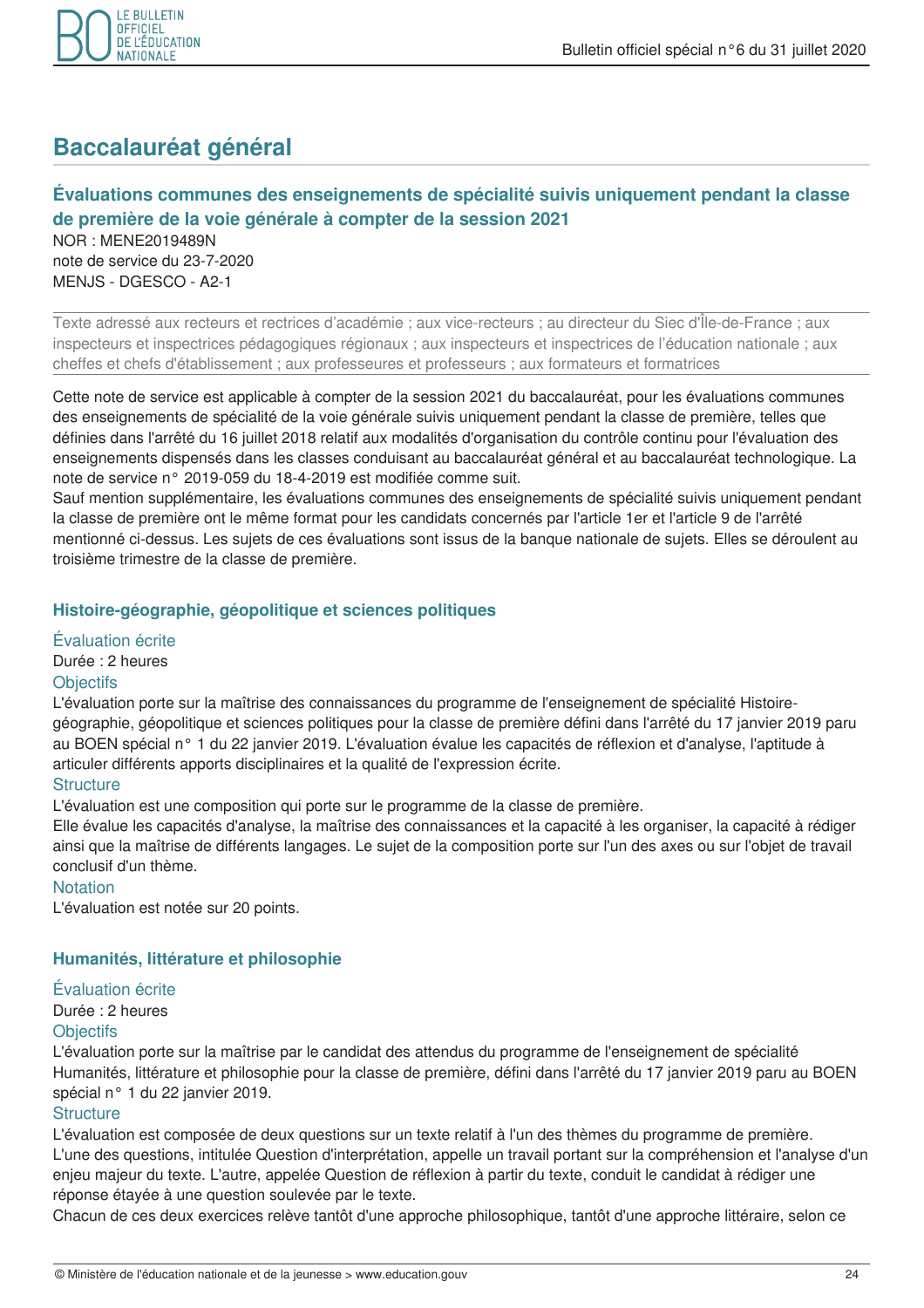

# **Baccalauréat général**

# Évaluations communes des enseignements de spécialité suivis uniquement pendant la classe de première de la voie générale à compter de la session 2021

NOR: MENE2019489N note de service du 23-7-2020 MENJS - DGESCO - A2-1

Texte adressé aux recteurs et rectrices d'académie ; aux vice-recteurs ; au directeur du Siec d'Île-de-France ; aux inspecteurs et inspectrices pédagogiques régionaux; aux inspecteurs et inspectrices de l'éducation nationale; aux cheffes et chefs d'établissement ; aux professeures et professeurs ; aux formateurs et formatrices

Cette note de service est applicable à compter de la session 2021 du baccalauréat, pour les évaluations communes des enseignements de spécialité de la voie générale suivis uniquement pendant la classe de première, telles que définies dans l'arrêté du 16 juillet 2018 relatif aux modalités d'organisation du contrôle continu pour l'évaluation des enseignements dispensés dans les classes conduisant au baccalauréat général et au baccalauréat technologique. La note de service n° 2019-059 du 18-4-2019 est modifiée comme suit.

Sauf mention supplémentaire, les évaluations communes des enseignements de spécialité suivis uniquement pendant la classe de première ont le même format pour les candidats concernés par l'article 1er et l'article 9 de l'arrêté mentionné ci-dessus. Les sujets de ces évaluations sont issus de la banque nationale de sujets. Elles se déroulent au troisième trimestre de la classe de première.

# Histoire-géographie, géopolitique et sciences politiques

# Évaluation écrite

Durée : 2 heures

# **Objectifs**

L'évaluation porte sur la maîtrise des connaissances du programme de l'enseignement de spécialité Histoiregéographie, géopolitique et sciences politiques pour la classe de première défini dans l'arrêté du 17 janvier 2019 paru au BOEN spécial n° 1 du 22 janvier 2019. L'évaluation évalue les capacités de réflexion et d'analyse, l'aptitude à articuler différents apports disciplinaires et la qualité de l'expression écrite.

# **Structure**

L'évaluation est une composition qui porte sur le programme de la classe de première.

Elle évalue les capacités d'analyse, la maîtrise des connaissances et la capacité à les organiser, la capacité à rédiger ainsi que la maîtrise de différents langages. Le sujet de la composition porte sur l'un des axes ou sur l'objet de travail conclusif d'un thème.

# **Notation**

L'évaluation est notée sur 20 points.

# Humanités, littérature et philosophie

#### Évaluation écrite

Durée : 2 heures

#### **Objectifs**

L'évaluation porte sur la maîtrise par le candidat des attendus du programme de l'enseignement de spécialité Humanités, littérature et philosophie pour la classe de première, défini dans l'arrêté du 17 janvier 2019 paru au BOEN spécial n° 1 du 22 janvier 2019.

#### Structure

L'évaluation est composée de deux questions sur un texte relatif à l'un des thèmes du programme de première. L'une des questions, intitulée Question d'interprétation, appelle un travail portant sur la compréhension et l'analyse d'un enjeu majeur du texte. L'autre, appelée Question de réflexion à partir du texte, conduit le candidat à rédiger une réponse étayée à une question soulevée par le texte.

Chacun de ces deux exercices relève tantôt d'une approche philosophique, tantôt d'une approche littéraire, selon ce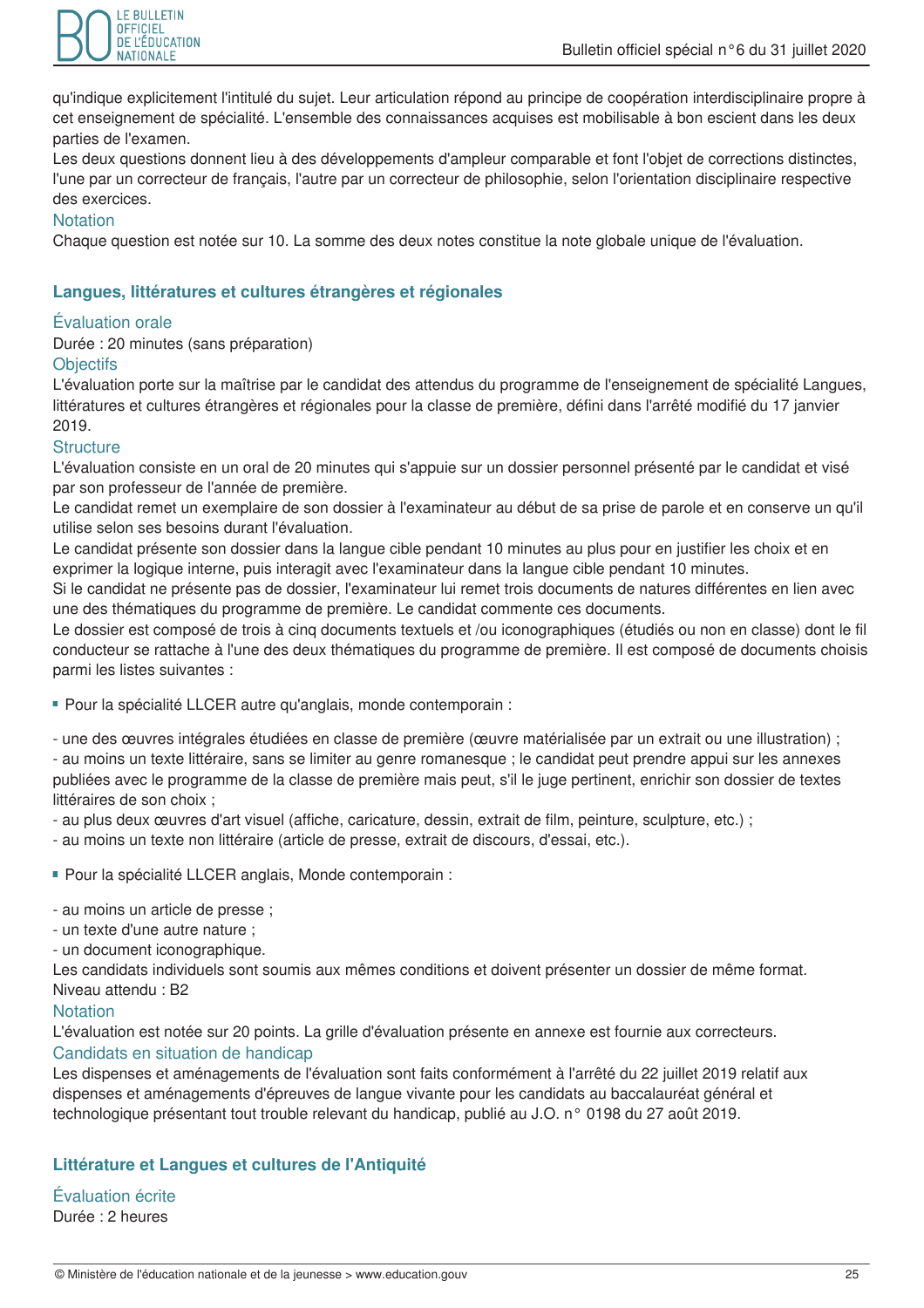

qu'indique explicitement l'intitulé du suiet. Leur articulation répond au principe de coopération interdisciplinaire propre à cet enseignement de spécialité. L'ensemble des connaissances acquises est mobilisable à bon escient dans les deux parties de l'examen.

Les deux questions donnent lieu à des développements d'ampleur comparable et font l'objet de corrections distinctes, l'une par un correcteur de français, l'autre par un correcteur de philosophie, selon l'orientation disciplinaire respective des exercices.

# **Notation**

Chaque question est notée sur 10. La somme des deux notes constitue la note globale unique de l'évaluation.

# Langues, littératures et cultures étrangères et régionales

#### Évaluation orale

Durée : 20 minutes (sans préparation)

#### **Objectifs**

L'évaluation porte sur la maîtrise par le candidat des attendus du programme de l'enseignement de spécialité Langues, littératures et cultures étrangères et régionales pour la classe de première, défini dans l'arrêté modifié du 17 janvier 2019.

#### **Structure**

L'évaluation consiste en un oral de 20 minutes qui s'appuie sur un dossier personnel présenté par le candidat et visé par son professeur de l'année de première.

Le candidat remet un exemplaire de son dossier à l'examinateur au début de sa prise de parole et en conserve un qu'il utilise selon ses besoins durant l'évaluation.

Le candidat présente son dossier dans la langue cible pendant 10 minutes au plus pour en justifier les choix et en exprimer la logique interne, puis interagit avec l'examinateur dans la langue cible pendant 10 minutes.

Si le candidat ne présente pas de dossier, l'examinateur lui remet trois documents de natures différentes en lien avec une des thématiques du programme de première. Le candidat commente ces documents.

Le dossier est composé de trois à cinq documents textuels et /ou iconographiques (étudiés ou non en classe) dont le fil conducteur se rattache à l'une des deux thématiques du programme de première. Il est composé de documents choisis parmi les listes suivantes :

- Pour la spécialité LLCER autre qu'anglais, monde contemporain :

- une des œuvres intégrales étudiées en classe de première (œuvre matérialisée par un extrait ou une illustration); - au moins un texte littéraire, sans se limiter au genre romanesque ; le candidat peut prendre appui sur les annexes publiées avec le programme de la classe de première mais peut, s'il le juge pertinent, enrichir son dossier de textes littéraires de son choix ;

- au plus deux œuvres d'art visuel (affiche, caricature, dessin, extrait de film, peinture, sculpture, etc.);

- au moins un texte non littéraire (article de presse, extrait de discours, d'essai, etc.).

- Pour la spécialité LLCER anglais, Monde contemporain :

- au moins un article de presse ;

- un texte d'une autre nature :
- un document iconographique.

Les candidats individuels sont soumis aux mêmes conditions et doivent présenter un dossier de même format. Niveau attendu : B2

#### **Notation**

L'évaluation est notée sur 20 points. La grille d'évaluation présente en annexe est fournie aux correcteurs. Candidats en situation de handicap

Les dispenses et aménagements de l'évaluation sont faits conformément à l'arrêté du 22 juillet 2019 relatif aux dispenses et aménagements d'épreuves de langue vivante pour les candidats au baccalauréat général et technologique présentant tout trouble relevant du handicap, publié au J.O. n° 0198 du 27 août 2019.

# Littérature et Langues et cultures de l'Antiquité

Évaluation écrite Durée : 2 heures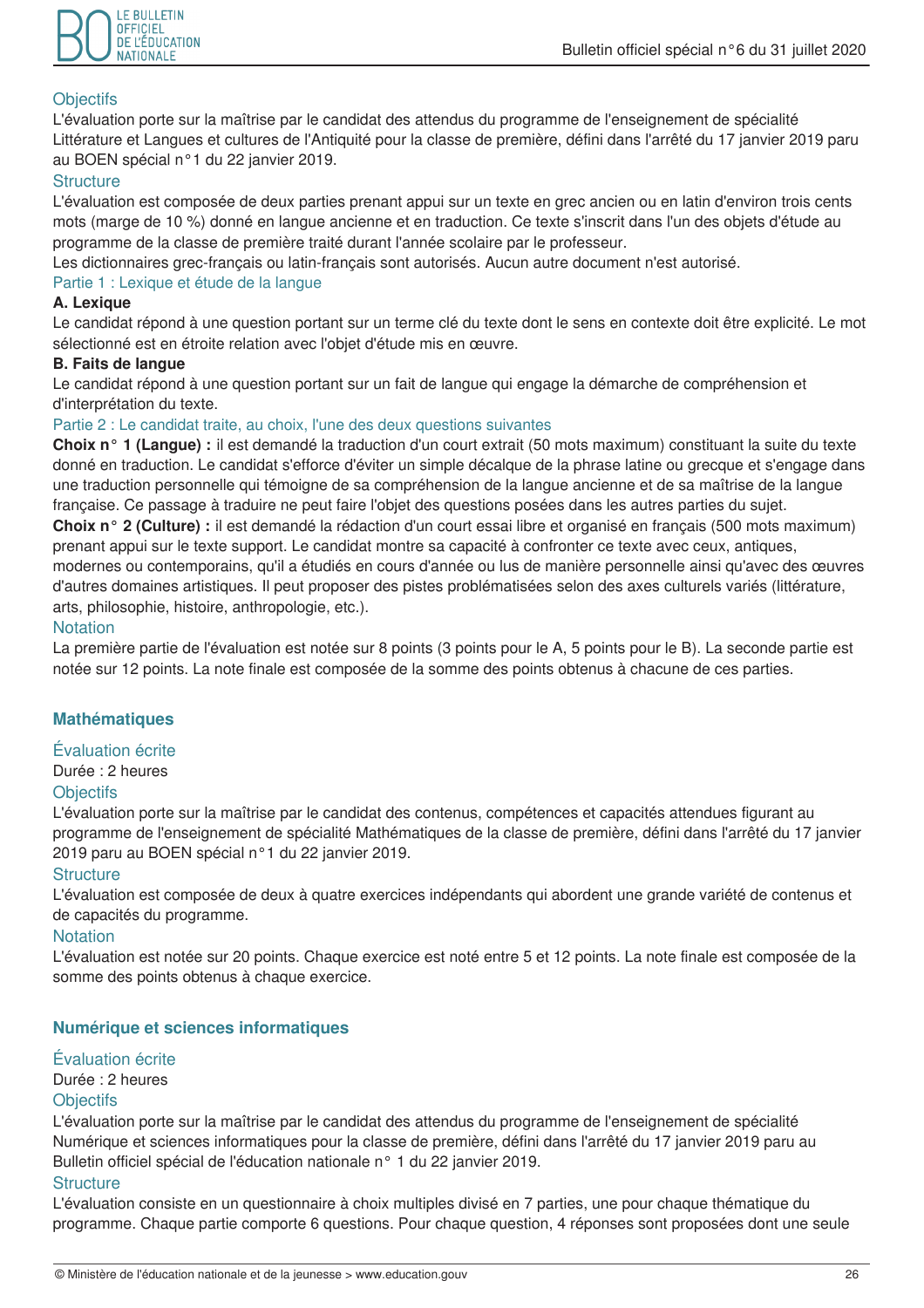

# **Objectifs**

L'évaluation porte sur la maîtrise par le candidat des attendus du programme de l'enseignement de spécialité Littérature et Langues et cultures de l'Antiquité pour la classe de première, défini dans l'arrêté du 17 janvier 2019 paru au BOEN spécial n°1 du 22 janvier 2019.

# **Structure**

L'évaluation est composée de deux parties prenant appui sur un texte en grec ancien ou en latin d'environ trois cents mots (marge de 10 %) donné en langue ancienne et en traduction. Ce texte s'inscrit dans l'un des objets d'étude au programme de la classe de première traité durant l'année scolaire par le professeur.

Les dictionnaires grec-français ou latin-français sont autorisés. Aucun autre document n'est autorisé.

#### Partie 1 : Lexique et étude de la langue

# A. Lexique

Le candidat répond à une question portant sur un terme clé du texte dont le sens en contexte doit être explicité. Le mot sélectionné est en étroite relation avec l'objet d'étude mis en œuvre.

# **B. Faits de langue**

Le candidat répond à une question portant sur un fait de langue qui engage la démarche de compréhension et d'interprétation du texte.

# Partie 2 : Le candidat traite, au choix, l'une des deux questions suivantes

Choix n° 1 (Langue) : il est demandé la traduction d'un court extrait (50 mots maximum) constituant la suite du texte donné en traduction. Le candidat s'efforce d'éviter un simple décalque de la phrase latine ou grecque et s'engage dans une traduction personnelle qui témoigne de sa compréhension de la langue ancienne et de sa maîtrise de la langue française. Ce passage à traduire ne peut faire l'objet des questions posées dans les autres parties du sujet. Choix n° 2 (Culture) : il est demandé la rédaction d'un court essai libre et organisé en francais (500 mots maximum) prenant appui sur le texte support. Le candidat montre sa capacité à confronter ce texte avec ceux, antiques, modernes ou contemporains, qu'il a étudiés en cours d'année ou lus de manière personnelle ainsi qu'avec des œuvres d'autres domaines artistiques. Il peut proposer des pistes problématisées selon des axes culturels variés (littérature, arts, philosophie, histoire, anthropologie, etc.).

# **Notation**

La première partie de l'évaluation est notée sur 8 points (3 points pour le A, 5 points pour le B). La seconde partie est notée sur 12 points. La note finale est composée de la somme des points obtenus à chacune de ces parties.

# **Mathématiques**

#### Évaluation écrite

Durée : 2 heures

#### **Objectifs**

L'évaluation porte sur la maîtrise par le candidat des contenus, compétences et capacités attendues figurant au programme de l'enseignement de spécialité Mathématiques de la classe de première, défini dans l'arrêté du 17 janvier 2019 paru au BOEN spécial n°1 du 22 janvier 2019.

#### **Structure**

L'évaluation est composée de deux à quatre exercices indépendants qui abordent une grande variété de contenus et de capacités du programme.

#### **Notation**

L'évaluation est notée sur 20 points. Chaque exercice est noté entre 5 et 12 points. La note finale est composée de la somme des points obtenus à chaque exercice.

# Numérique et sciences informatiques

# Évaluation écrite

Durée : 2 heures

#### **Objectifs**

L'évaluation porte sur la maîtrise par le candidat des attendus du programme de l'enseignement de spécialité Numérique et sciences informatiques pour la classe de première, défini dans l'arrêté du 17 janvier 2019 paru au Bulletin officiel spécial de l'éducation nationale n° 1 du 22 janvier 2019.

#### **Structure**

L'évaluation consiste en un questionnaire à choix multiples divisé en 7 parties, une pour chaque thématique du programme. Chaque partie comporte 6 questions. Pour chaque question, 4 réponses sont proposées dont une seule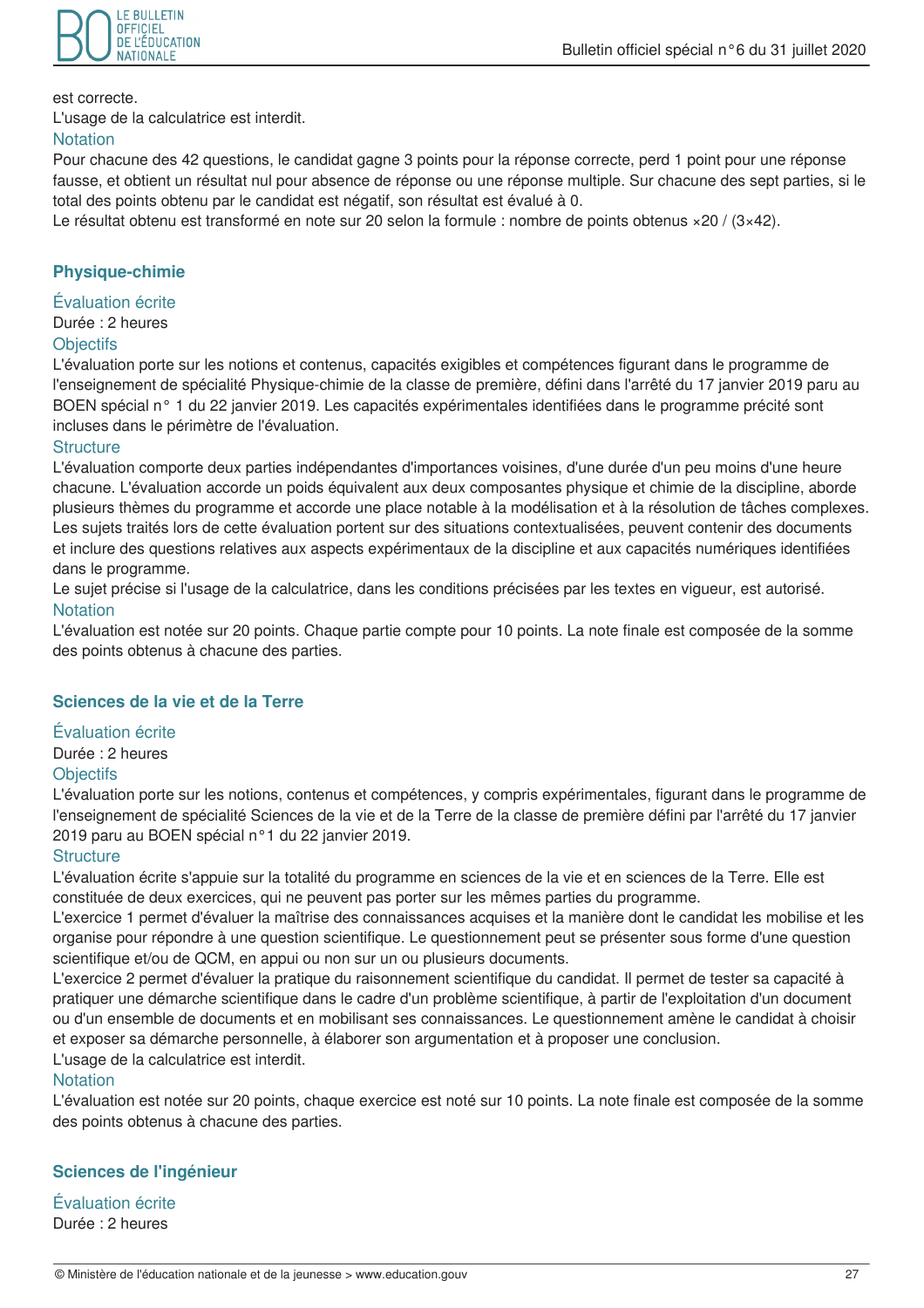

est correcte.

L'usage de la calculatrice est interdit.

#### **Notation**

Pour chacune des 42 questions, le candidat gagne 3 points pour la réponse correcte, perd 1 point pour une réponse fausse, et obtient un résultat nul pour absence de réponse ou une réponse multiple. Sur chacune des sept parties, si le total des points obtenu par le candidat est négatif, son résultat est évalué à 0.

Le résultat obtenu est transformé en note sur 20 selon la formule : nombre de points obtenus ×20 / (3×42).

# **Physique-chimie**

Évaluation écrite

# Durée : 2 heures

# **Objectifs**

L'évaluation porte sur les notions et contenus, capacités exigibles et compétences figurant dans le programme de l'enseignement de spécialité Physique-chimie de la classe de première, défini dans l'arrêté du 17 janvier 2019 paru au BOEN spécial n° 1 du 22 janvier 2019. Les capacités expérimentales identifiées dans le programme précité sont incluses dans le périmètre de l'évaluation.

#### **Structure**

L'évaluation comporte deux parties indépendantes d'importances voisines, d'une durée d'un peu moins d'une heure chacune. L'évaluation accorde un poids équivalent aux deux composantes physique et chimie de la discipline, aborde plusieurs thèmes du programme et accorde une place notable à la modélisation et à la résolution de tâches complexes. Les sujets traités lors de cette évaluation portent sur des situations contextualisées, peuvent contenir des documents et inclure des questions relatives aux aspects expérimentaux de la discipline et aux capacités numériques identifiées dans le programme.

Le sujet précise si l'usage de la calculatrice, dans les conditions précisées par les textes en viqueur, est autorisé. **Notation** 

L'évaluation est notée sur 20 points. Chaque partie compte pour 10 points. La note finale est composée de la somme des points obtenus à chacune des parties.

# Sciences de la vie et de la Terre

#### Évaluation écrite

Durée : 2 heures

#### **Objectifs**

L'évaluation porte sur les notions, contenus et compétences, y compris expérimentales, figurant dans le programme de l'enseignement de spécialité Sciences de la vie et de la Terre de la classe de première défini par l'arrêté du 17 janvier 2019 paru au BOEN spécial n°1 du 22 janvier 2019.

#### **Structure**

L'évaluation écrite s'appuie sur la totalité du programme en sciences de la vie et en sciences de la Terre. Elle est constituée de deux exercices, qui ne peuvent pas porter sur les mêmes parties du programme.

L'exercice 1 permet d'évaluer la maîtrise des connaissances acquises et la manière dont le candidat les mobilise et les organise pour répondre à une question scientifique. Le questionnement peut se présenter sous forme d'une question scientifique et/ou de QCM, en appui ou non sur un ou plusieurs documents.

L'exercice 2 permet d'évaluer la pratique du raisonnement scientifique du candidat. Il permet de tester sa capacité à pratiquer une démarche scientifique dans le cadre d'un problème scientifique, à partir de l'exploitation d'un document ou d'un ensemble de documents et en mobilisant ses connaissances. Le questionnement amène le candidat à choisir et exposer sa démarche personnelle, à élaborer son argumentation et à proposer une conclusion. L'usage de la calculatrice est interdit.

# **Notation**

L'évaluation est notée sur 20 points, chaque exercice est noté sur 10 points. La note finale est composée de la somme des points obtenus à chacune des parties.

# Sciences de l'ingénieur

Évaluation écrite Durée : 2 heures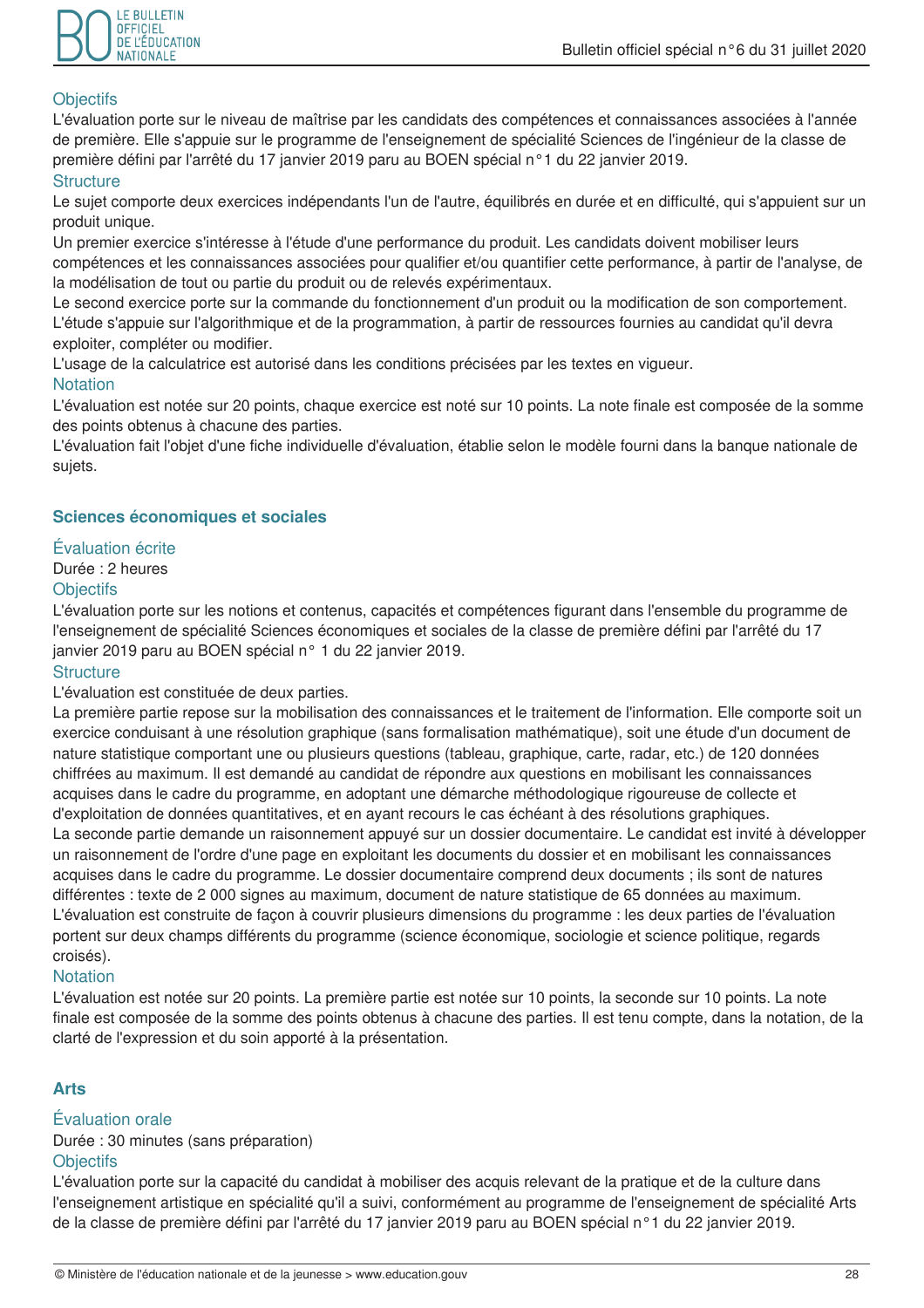

# **Objectifs**

L'évaluation porte sur le niveau de maîtrise par les candidats des compétences et connaissances associées à l'année de première. Elle s'appuie sur le programme de l'enseignement de spécialité Sciences de l'ingénieur de la classe de première défini par l'arrêté du 17 janvier 2019 paru au BOEN spécial n°1 du 22 janvier 2019.

# **Structure**

Le sujet comporte deux exercices indépendants l'un de l'autre, équilibrés en durée et en difficulté, qui s'appuient sur un produit unique.

Un premier exercice s'intéresse à l'étude d'une performance du produit. Les candidats doivent mobiliser leurs compétences et les connaissances associées pour qualifier et/ou quantifier cette performance, à partir de l'analyse, de la modélisation de tout ou partie du produit ou de relevés expérimentaux.

Le second exercice porte sur la commande du fonctionnement d'un produit ou la modification de son comportement. L'étude s'appuie sur l'algorithmique et de la programmation, à partir de ressources fournies au candidat qu'il devra exploiter, compléter ou modifier.

L'usage de la calculatrice est autorisé dans les conditions précisées par les textes en vigueur. **Notation** 

L'évaluation est notée sur 20 points, chaque exercice est noté sur 10 points. La note finale est composée de la somme des points obtenus à chacune des parties.

L'évaluation fait l'objet d'une fiche individuelle d'évaluation, établie selon le modèle fourni dans la banque nationale de sujets.

# Sciences économiques et sociales

# Évaluation écrite

# Durée : 2 heures

#### **Objectifs**

L'évaluation porte sur les notions et contenus, capacités et compétences figurant dans l'ensemble du programme de l'enseignement de spécialité Sciences économiques et sociales de la classe de première défini par l'arrêté du 17 janvier 2019 paru au BOEN spécial n° 1 du 22 janvier 2019.

#### **Structure**

L'évaluation est constituée de deux parties.

La première partie repose sur la mobilisation des connaissances et le traitement de l'information. Elle comporte soit un exercice conduisant à une résolution graphique (sans formalisation mathématique), soit une étude d'un document de nature statistique comportant une ou plusieurs questions (tableau, graphique, carte, radar, etc.) de 120 données chiffrées au maximum. Il est demandé au candidat de répondre aux questions en mobilisant les connaissances acquises dans le cadre du programme, en adoptant une démarche méthodologique rigoureuse de collecte et d'exploitation de données quantitatives, et en ayant recours le cas échéant à des résolutions graphiques. La seconde partie demande un raisonnement appuyé sur un dossier documentaire. Le candidat est invité à développer un raisonnement de l'ordre d'une page en exploitant les documents du dossier et en mobilisant les connaissances acquises dans le cadre du programme. Le dossier documentaire comprend deux documents ; ils sont de natures différentes : texte de 2 000 signes au maximum, document de nature statistique de 65 données au maximum. L'évaluation est construite de facon à couvrir plusieurs dimensions du programme : les deux parties de l'évaluation portent sur deux champs différents du programme (science économique, sociologie et science politique, regards croisés).

#### **Notation**

L'évaluation est notée sur 20 points. La première partie est notée sur 10 points, la seconde sur 10 points. La note finale est composée de la somme des points obtenus à chacune des parties. Il est tenu compte, dans la notation, de la clarté de l'expression et du soin apporté à la présentation.

# **Arts**

#### Évaluation orale

Durée : 30 minutes (sans préparation) **Objectifs** 

L'évaluation porte sur la capacité du candidat à mobiliser des acquis relevant de la pratique et de la culture dans l'enseignement artistique en spécialité qu'il a suivi, conformément au programme de l'enseignement de spécialité Arts de la classe de première défini par l'arrêté du 17 janvier 2019 paru au BOEN spécial n°1 du 22 janvier 2019.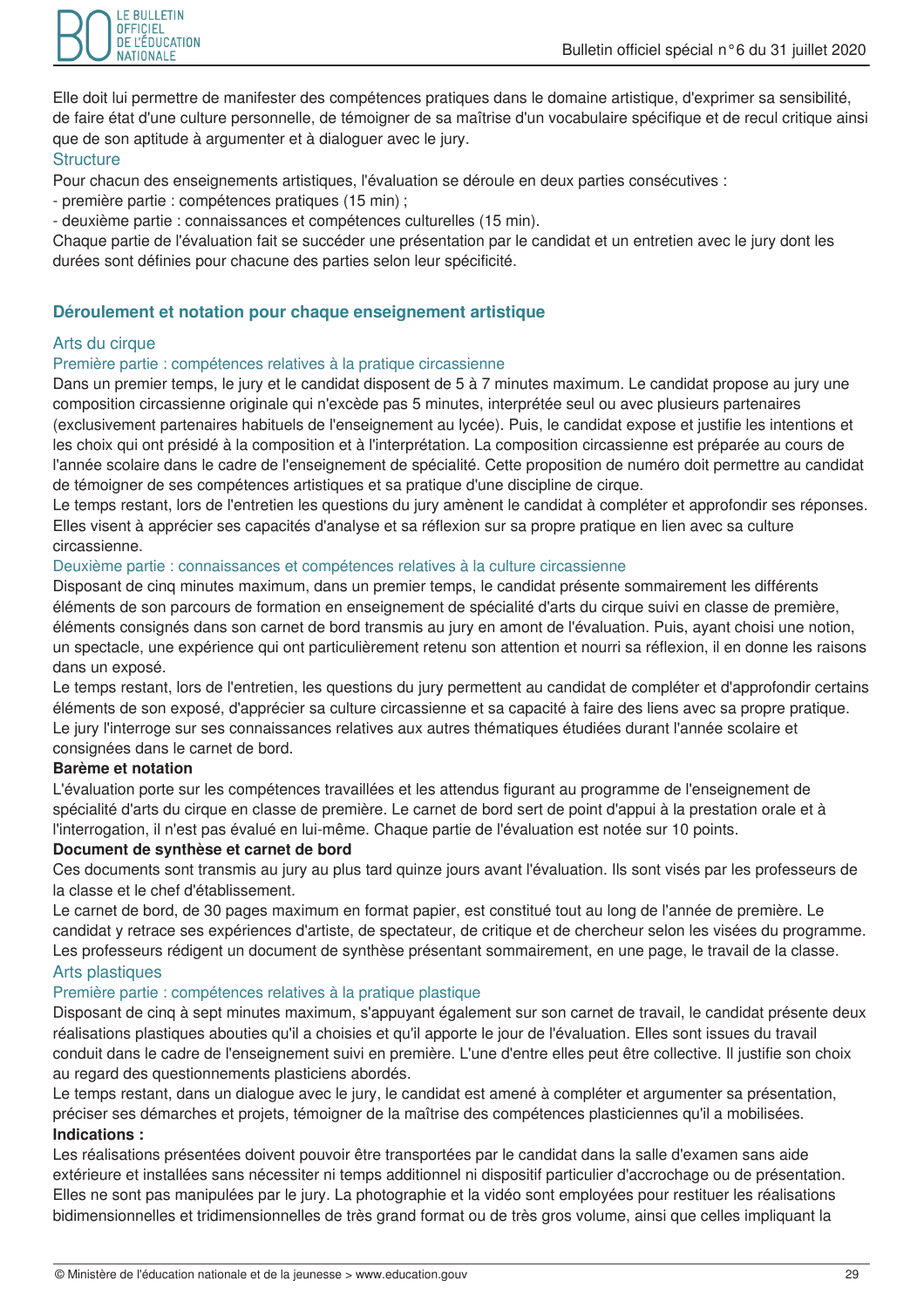

Elle doit lui permettre de manifester des compétences pratiques dans le domaine artistique, d'exprimer sa sensibilité, de faire état d'une culture personnelle, de témoigner de sa maîtrise d'un vocabulaire spécifique et de recul critique ainsi que de son aptitude à argumenter et à dialoguer avec le jury.

#### **Structure**

Pour chacun des enseignements artistiques. l'évaluation se déroule en deux parties consécutives :

- première partie : compétences pratiques (15 min) :

- deuxième partie : connaissances et compétences culturelles (15 min).

Chaque partie de l'évaluation fait se succéder une présentation par le candidat et un entretien avec le jury dont les durées sont définies pour chacune des parties selon leur spécificité.

# Déroulement et notation pour chaque enseignement artistique

# Arts du cirque

#### Première partie : compétences relatives à la pratique circassienne

Dans un premier temps, le jury et le candidat disposent de 5 à 7 minutes maximum. Le candidat propose au jury une composition circassienne originale qui n'excède pas 5 minutes, interprétée seul ou avec plusieurs partenaires (exclusivement partenaires habituels de l'enseignement au lycée). Puis, le candidat expose et justifie les intentions et les choix qui ont présidé à la composition et à l'interprétation. La composition circassienne est préparée au cours de l'année scolaire dans le cadre de l'enseignement de spécialité. Cette proposition de numéro doit permettre au candidat de témoigner de ses compétences artistiques et sa pratique d'une discipline de cirque.

Le temps restant, lors de l'entretien les questions du jury amènent le candidat à compléter et approfondir ses réponses. Elles visent à apprécier ses capacités d'analyse et sa réflexion sur sa propre pratique en lien avec sa culture circassienne.

#### Deuxième partie : connaissances et compétences relatives à la culture circassienne

Disposant de cinq minutes maximum, dans un premier temps, le candidat présente sommairement les différents éléments de son parcours de formation en enseignement de spécialité d'arts du cirque suivi en classe de première, éléments consignés dans son carnet de bord transmis au jury en amont de l'évaluation. Puis, ayant choisi une notion, un spectacle, une expérience qui ont particulièrement retenu son attention et nourri sa réflexion, il en donne les raisons dans un exposé.

Le temps restant, lors de l'entretien, les questions du jury permettent au candidat de compléter et d'approfondir certains éléments de son exposé, d'apprécier sa culture circassienne et sa capacité à faire des liens avec sa propre pratique. Le jury l'interroge sur ses connaissances relatives aux autres thématiques étudiées durant l'année scolaire et consignées dans le carnet de bord.

#### **Barème et notation**

L'évaluation porte sur les compétences travaillées et les attendus figurant au programme de l'enseignement de spécialité d'arts du cirque en classe de première. Le carnet de bord sert de point d'appui à la prestation orale et à l'interrogation, il n'est pas évalué en lui-même. Chaque partie de l'évaluation est notée sur 10 points.

#### Document de synthèse et carnet de bord

Ces documents sont transmis au jury au plus tard quinze jours avant l'évaluation. Ils sont visés par les professeurs de la classe et le chef d'établissement.

Le carnet de bord, de 30 pages maximum en format papier, est constitué tout au long de l'année de première. Le candidat y retrace ses expériences d'artiste, de spectateur, de critique et de chercheur selon les visées du programme. Les professeurs rédigent un document de synthèse présentant sommairement, en une page, le travail de la classe.

#### Arts plastiques

#### Première partie : compétences relatives à la pratique plastique

Disposant de cinq à sept minutes maximum, s'appuvant également sur son carnet de travail, le candidat présente deux réalisations plastiques abouties qu'il a choisies et qu'il apporte le jour de l'évaluation. Elles sont issues du travail conduit dans le cadre de l'enseignement suivi en première. L'une d'entre elles peut être collective. Il justifie son choix au regard des questionnements plasticiens abordés.

Le temps restant, dans un dialoque avec le jury, le candidat est amené à compléter et argumenter sa présentation, préciser ses démarches et projets, témoigner de la maîtrise des compétences plasticiennes qu'il a mobilisées, Indications:

Les réalisations présentées doivent pouvoir être transportées par le candidat dans la salle d'examen sans aide extérieure et installées sans nécessiter ni temps additionnel ni dispositif particulier d'accrochage ou de présentation. Elles ne sont pas manipulées par le jury. La photographie et la vidéo sont employées pour restituer les réalisations bidimensionnelles et tridimensionnelles de très grand format ou de très gros volume, ainsi que celles impliquant la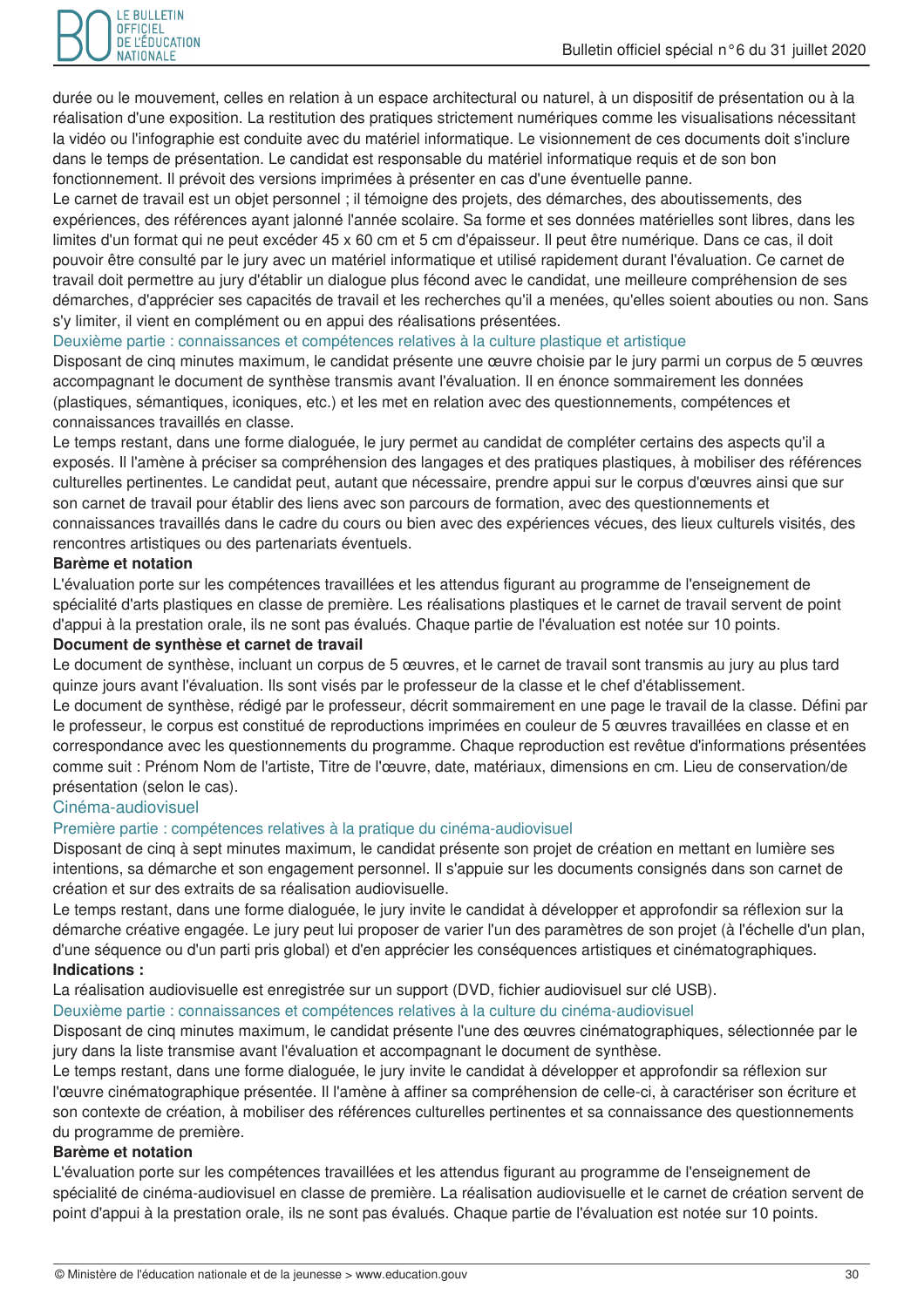

durée ou le mouvement, celles en relation à un espace architectural ou naturel, à un dispositif de présentation ou à la réalisation d'une exposition. La restitution des pratiques strictement numériques comme les visualisations nécessitant la vidéo ou l'infographie est conduite avec du matériel informatique. Le visionnement de ces documents doit s'inclure dans le temps de présentation. Le candidat est responsable du matériel informatique requis et de son bon fonctionnement. Il prévoit des versions imprimées à présenter en cas d'une éventuelle panne.

Le carnet de travail est un objet personnel ; il témoigne des projets, des démarches, des aboutissements, des expériences, des références ayant jalonné l'année scolaire. Sa forme et ses données matérielles sont libres, dans les limites d'un format qui ne peut excéder 45 x 60 cm et 5 cm d'épaisseur. Il peut être numérique. Dans ce cas, il doit pouvoir être consulté par le jury avec un matériel informatique et utilisé rapidement durant l'évaluation. Ce carnet de travail doit permettre au jury d'établir un dialogue plus fécond avec le candidat, une meilleure compréhension de ses démarches, d'apprécier ses capacités de travail et les recherches qu'il a menées, qu'elles soient abouties ou non. Sans s'y limiter, il vient en complément ou en appui des réalisations présentées.

#### Deuxième partie : connaissances et compétences relatives à la culture plastique et artistique

Disposant de cing minutes maximum, le candidat présente une œuvre choisie par le jury parmi un corpus de 5 œuvres accompagnant le document de synthèse transmis avant l'évaluation. Il en énonce sommairement les données (plastiques, sémantiques, iconiques, etc.) et les met en relation avec des questionnements, compétences et connaissances travaillés en classe.

Le temps restant, dans une forme dialoguée, le jury permet au candidat de compléter certains des aspects qu'il a exposés. Il l'amène à préciser sa compréhension des langages et des pratiques plastiques, à mobiliser des références culturelles pertinentes. Le candidat peut, autant que nécessaire, prendre appui sur le corpus d'œuvres ainsi que sur son carnet de travail pour établir des liens avec son parcours de formation, avec des questionnements et connaissances travaillés dans le cadre du cours ou bien avec des expériences vécues, des lieux culturels visités, des rencontres artistiques ou des partenariats éventuels.

#### Barème et notation

L'évaluation porte sur les compétences travaillées et les attendus figurant au programme de l'enseignement de spécialité d'arts plastiques en classe de première. Les réalisations plastiques et le carnet de travail servent de point d'appui à la prestation orale, ils ne sont pas évalués. Chaque partie de l'évaluation est notée sur 10 points.

#### Document de synthèse et carnet de travail

Le document de synthèse, incluant un corpus de 5 œuvres, et le carnet de travail sont transmis au jury au plus tard quinze jours avant l'évaluation. Ils sont visés par le professeur de la classe et le chef d'établissement.

Le document de synthèse, rédigé par le professeur, décrit sommairement en une page le travail de la classe. Défini par le professeur, le corpus est constitué de reproductions imprimées en couleur de 5 œuvres travaillées en classe et en correspondance avec les questionnements du programme. Chaque reproduction est revêtue d'informations présentées comme suit : Prénom Nom de l'artiste, Titre de l'œuvre, date, matériaux, dimensions en cm. Lieu de conservation/de présentation (selon le cas).

# Cinéma-audiovisuel

#### Première partie : compétences relatives à la pratique du cinéma-audiovisuel

Disposant de cinq à sept minutes maximum, le candidat présente son projet de création en mettant en lumière ses intentions, sa démarche et son engagement personnel. Il s'appuie sur les documents consignés dans son carnet de création et sur des extraits de sa réalisation audiovisuelle.

Le temps restant, dans une forme dialoguée, le jury invite le candidat à développer et approfondir sa réflexion sur la démarche créative engagée. Le jury peut lui proposer de varier l'un des paramètres de son projet (à l'échelle d'un plan, d'une séquence ou d'un parti pris global) et d'en apprécier les conséquences artistiques et cinématographiques. Indications:

La réalisation audiovisuelle est enregistrée sur un support (DVD, fichier audiovisuel sur clé USB).

Deuxième partie : connaissances et compétences relatives à la culture du cinéma-audiovisuel

Disposant de cinq minutes maximum, le candidat présente l'une des œuvres cinématographiques, sélectionnée par le jury dans la liste transmise avant l'évaluation et accompagnant le document de synthèse.

Le temps restant, dans une forme dialoguée, le jury invite le candidat à développer et approfondir sa réflexion sur l'œuvre cinématographique présentée. Il l'amène à affiner sa compréhension de celle-ci, à caractériser son écriture et son contexte de création, à mobiliser des références culturelles pertinentes et sa connaissance des questionnements du programme de première.

#### Barème et notation

L'évaluation porte sur les compétences travaillées et les attendus figurant au programme de l'enseignement de spécialité de cinéma-audiovisuel en classe de première. La réalisation audiovisuelle et le carnet de création servent de point d'appui à la prestation orale, ils ne sont pas évalués. Chaque partie de l'évaluation est notée sur 10 points.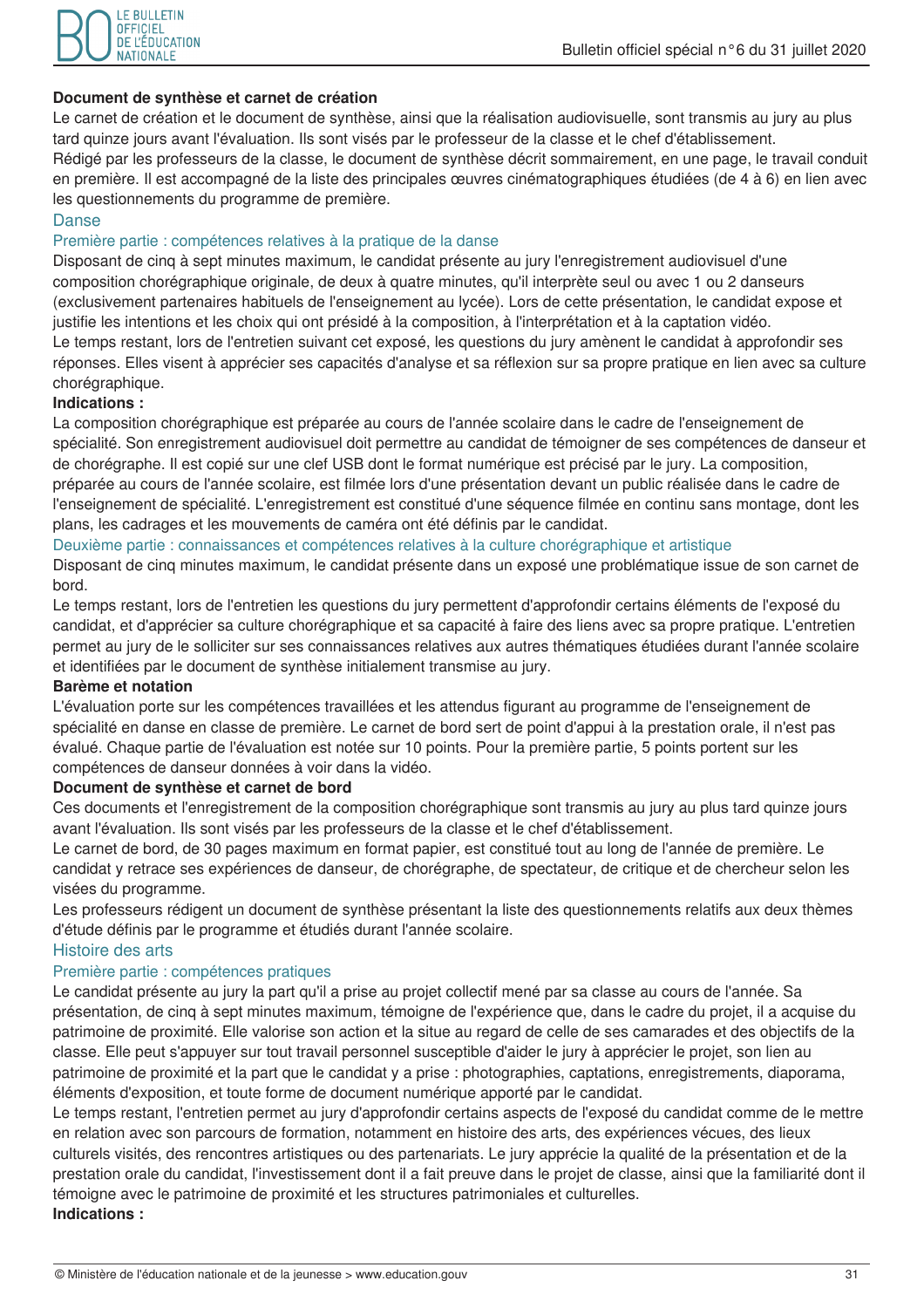

#### Document de synthèse et carnet de création

Le carnet de création et le document de synthèse, ainsi que la réalisation audiovisuelle, sont transmis au jury au plus tard quinze jours avant l'évaluation. Ils sont visés par le professeur de la classe et le chef d'établissement. Rédigé par les professeurs de la classe, le document de synthèse décrit sommairement, en une page, le travail conduit en première. Il est accompagné de la liste des principales œuvres cinématographiques étudiées (de 4 à 6) en lien avec les questionnements du programme de première.

# **Danse**

#### Première partie : compétences relatives à la pratique de la danse

Disposant de cinq à sept minutes maximum, le candidat présente au jury l'enregistrement audiovisuel d'une composition chorégraphique originale, de deux à quatre minutes, qu'il interprète seul ou avec 1 ou 2 danseurs (exclusivement partenaires habituels de l'enseignement au lycée). Lors de cette présentation, le candidat expose et justifie les intentions et les choix qui ont présidé à la composition, à l'interprétation et à la captation vidéo. Le temps restant, lors de l'entretien suivant cet exposé, les questions du jury amènent le candidat à approfondir ses réponses. Elles visent à apprécier ses capacités d'analyse et sa réflexion sur sa propre pratique en lien avec sa culture chorégraphique.

#### Indications:

La composition chorégraphique est préparée au cours de l'année scolaire dans le cadre de l'enseignement de spécialité. Son enregistrement audiovisuel doit permettre au candidat de témoigner de ses compétences de danseur et de chorégraphe. Il est copié sur une clef USB dont le format numérique est précisé par le jury. La composition, préparée au cours de l'année scolaire, est filmée lors d'une présentation devant un public réalisée dans le cadre de l'enseignement de spécialité. L'enregistrement est constitué d'une séquence filmée en continu sans montage, dont les plans, les cadrages et les mouvements de caméra ont été définis par le candidat.

#### Deuxième partie : connaissances et compétences relatives à la culture chorégraphique et artistique

Disposant de cinq minutes maximum, le candidat présente dans un exposé une problématique issue de son carnet de bord.

Le temps restant, lors de l'entretien les questions du jury permettent d'approfondir certains éléments de l'exposé du candidat, et d'apprécier sa culture chorégraphique et sa capacité à faire des liens avec sa propre pratique. L'entretien permet au jury de le solliciter sur ses connaissances relatives aux autres thématiques étudiées durant l'année scolaire et identifiées par le document de synthèse initialement transmise au jury.

#### **Barème et notation**

L'évaluation porte sur les compétences travaillées et les attendus figurant au programme de l'enseignement de spécialité en danse en classe de première. Le carnet de bord sert de point d'appui à la prestation orale, il n'est pas évalué. Chaque partie de l'évaluation est notée sur 10 points. Pour la première partie, 5 points portent sur les compétences de danseur données à voir dans la vidéo.

#### Document de synthèse et carnet de bord

Ces documents et l'enregistrement de la composition chorégraphique sont transmis au jury au plus tard quinze jours avant l'évaluation. Ils sont visés par les professeurs de la classe et le chef d'établissement.

Le carnet de bord, de 30 pages maximum en format papier, est constitué tout au long de l'année de première. Le candidat y retrace ses expériences de danseur, de chorégraphe, de spectateur, de critique et de chercheur selon les visées du programme.

Les professeurs rédigent un document de synthèse présentant la liste des questionnements relatifs aux deux thèmes d'étude définis par le programme et étudiés durant l'année scolaire.

#### Histoire des arts

#### Première partie : compétences pratiques

Le candidat présente au jury la part qu'il a prise au projet collectif mené par sa classe au cours de l'année. Sa présentation, de cinq à sept minutes maximum, témoigne de l'expérience que, dans le cadre du projet, il a acquise du patrimoine de proximité. Elle valorise son action et la situe au regard de celle de ses camarades et des objectifs de la classe. Elle peut s'appuyer sur tout travail personnel susceptible d'aider le jury à apprécier le projet, son lien au patrimoine de proximité et la part que le candidat y a prise : photographies, captations, enregistrements, diaporama, éléments d'exposition, et toute forme de document numérique apporté par le candidat.

Le temps restant, l'entretien permet au jury d'approfondir certains aspects de l'exposé du candidat comme de le mettre en relation avec son parcours de formation, notamment en histoire des arts, des expériences vécues, des lieux culturels visités, des rencontres artistiques ou des partenariats. Le jury apprécie la qualité de la présentation et de la prestation orale du candidat, l'investissement dont il a fait preuve dans le projet de classe, ainsi que la familiarité dont il témoigne avec le patrimoine de proximité et les structures patrimoniales et culturelles. Indications: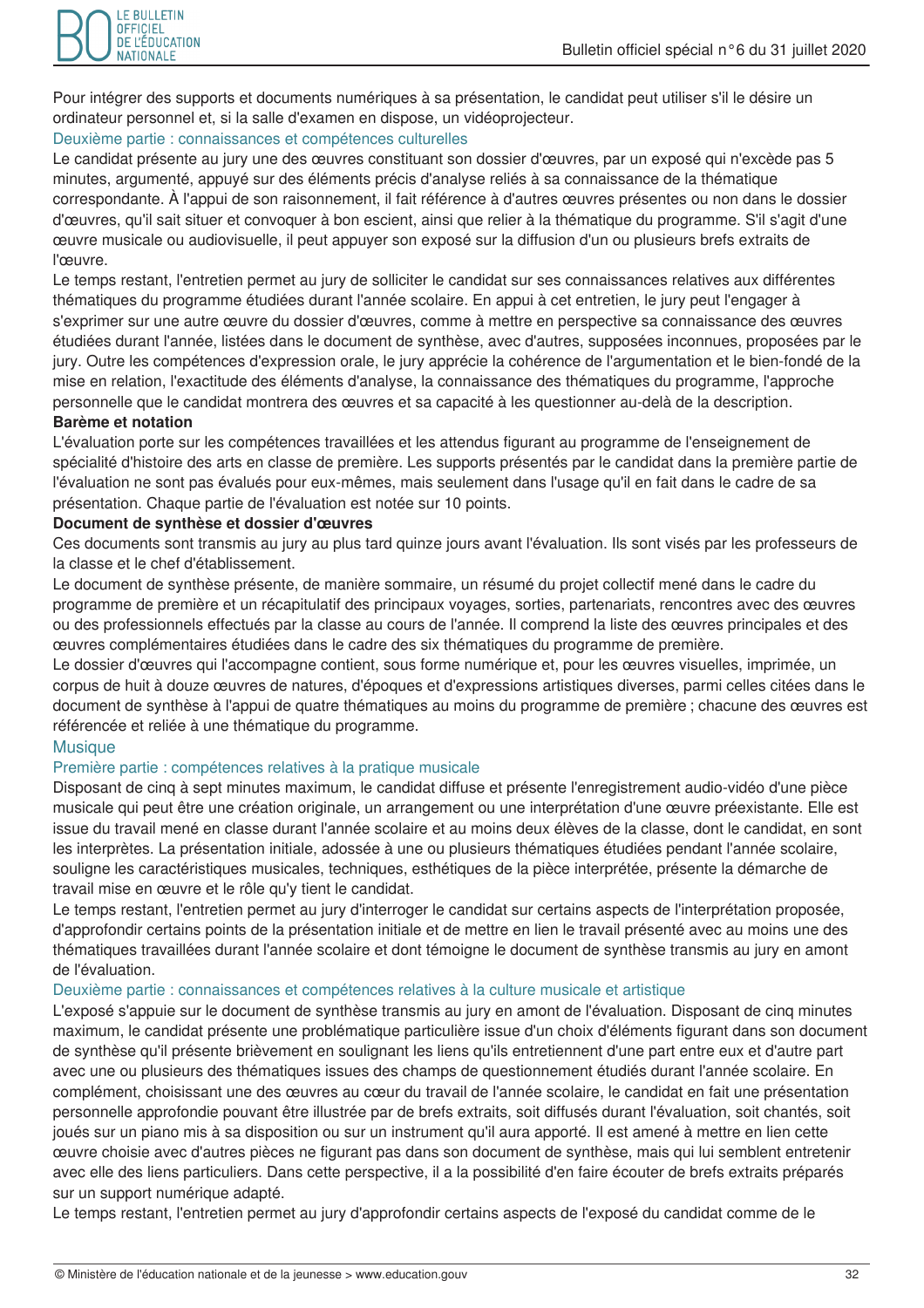Pour intégrer des supports et documents numériques à sa présentation, le candidat peut utiliser s'il le désire un ordinateur personnel et, si la salle d'examen en dispose, un vidéoprojecteur.

# Deuxième partie : connaissances et compétences culturelles

Le candidat présente au jury une des œuvres constituant son dossier d'œuvres, par un exposé qui n'excède pas 5 minutes, argumenté, appuyé sur des éléments précis d'analyse reliés à sa connaissance de la thématique correspondante. À l'appui de son raisonnement, il fait référence à d'autres œuvres présentes ou non dans le dossier d'œuvres, qu'il sait situer et convoquer à bon escient, ainsi que relier à la thématique du programme. S'il s'agit d'une œuvre musicale ou audiovisuelle, il peut appuyer son exposé sur la diffusion d'un ou plusieurs brefs extraits de l'œuvre.

Le temps restant, l'entretien permet au jury de solliciter le candidat sur ses connaissances relatives aux différentes thématiques du programme étudiées durant l'année scolaire. En appui à cet entretien, le jury peut l'engager à s'exprimer sur une autre œuvre du dossier d'œuvres, comme à mettre en perspective sa connaissance des œuvres étudiées durant l'année, listées dans le document de synthèse, avec d'autres, supposées inconnues, proposées par le jury. Outre les compétences d'expression orale, le jury apprécie la cohérence de l'argumentation et le bien-fondé de la mise en relation, l'exactitude des éléments d'analyse, la connaissance des thématiques du programme, l'approche personnelle que le candidat montrera des œuvres et sa capacité à les questionner au-delà de la description.

#### **Barème et notation**

L'évaluation porte sur les compétences travaillées et les attendus figurant au programme de l'enseignement de spécialité d'histoire des arts en classe de première. Les supports présentés par le candidat dans la première partie de l'évaluation ne sont pas évalués pour eux-mêmes, mais seulement dans l'usage qu'il en fait dans le cadre de sa présentation. Chaque partie de l'évaluation est notée sur 10 points.

#### Document de synthèse et dossier d'œuvres

Ces documents sont transmis au jury au plus tard quinze jours avant l'évaluation. Ils sont visés par les professeurs de la classe et le chef d'établissement.

Le document de synthèse présente, de manière sommaire, un résumé du projet collectif mené dans le cadre du programme de première et un récapitulatif des principaux voyages, sorties, partenariats, rencontres avec des œuvres ou des professionnels effectués par la classe au cours de l'année. Il comprend la liste des œuvres principales et des ceuvres complémentaires étudiées dans le cadre des six thématiques du programme de première.

Le dossier d'œuvres qui l'accompagne contient, sous forme numérique et, pour les œuvres visuelles, imprimée, un corpus de huit à douze œuvres de natures, d'époques et d'expressions artistiques diverses, parmi celles citées dans le document de synthèse à l'appui de quatre thématiques au moins du programme de première ; chacune des œuvres est référencée et reliée à une thématique du programme.

#### **Musique**

#### Première partie : compétences relatives à la pratique musicale

Disposant de cinq à sept minutes maximum, le candidat diffuse et présente l'enregistrement audio-vidéo d'une pièce musicale qui peut être une création originale, un arrangement ou une interprétation d'une œuvre préexistante. Elle est issue du travail mené en classe durant l'année scolaire et au moins deux élèves de la classe, dont le candidat, en sont les interprètes. La présentation initiale, adossée à une ou plusieurs thématiques étudiées pendant l'année scolaire, souligne les caractéristiques musicales, techniques, esthétiques de la pièce interprétée, présente la démarche de travail mise en œuvre et le rôle qu'y tient le candidat.

Le temps restant, l'entretien permet au jury d'interroger le candidat sur certains aspects de l'interprétation proposée, d'approfondir certains points de la présentation initiale et de mettre en lien le travail présenté avec au moins une des thématiques travaillées durant l'année scolaire et dont témoigne le document de synthèse transmis au jury en amont de l'évaluation.

#### Deuxième partie : connaissances et compétences relatives à la culture musicale et artistique

L'exposé s'appuie sur le document de synthèse transmis au jury en amont de l'évaluation. Disposant de cinq minutes maximum, le candidat présente une problématique particulière issue d'un choix d'éléments figurant dans son document de synthèse qu'il présente brièvement en soulignant les liens qu'ils entretiennent d'une part entre eux et d'autre part avec une ou plusieurs des thématiques issues des champs de questionnement étudiés durant l'année scolaire. En complément, choisissant une des œuvres au cœur du travail de l'année scolaire, le candidat en fait une présentation personnelle approfondie pouvant être illustrée par de brefs extraits, soit diffusés durant l'évaluation, soit chantés, soit joués sur un piano mis à sa disposition ou sur un instrument qu'il aura apporté. Il est amené à mettre en lien cette œuvre choisie avec d'autres pièces ne figurant pas dans son document de synthèse, mais qui lui semblent entretenir avec elle des liens particuliers. Dans cette perspective, il a la possibilité d'en faire écouter de brefs extraits préparés sur un support numérique adapté.

Le temps restant, l'entretien permet au jury d'approfondir certains aspects de l'exposé du candidat comme de le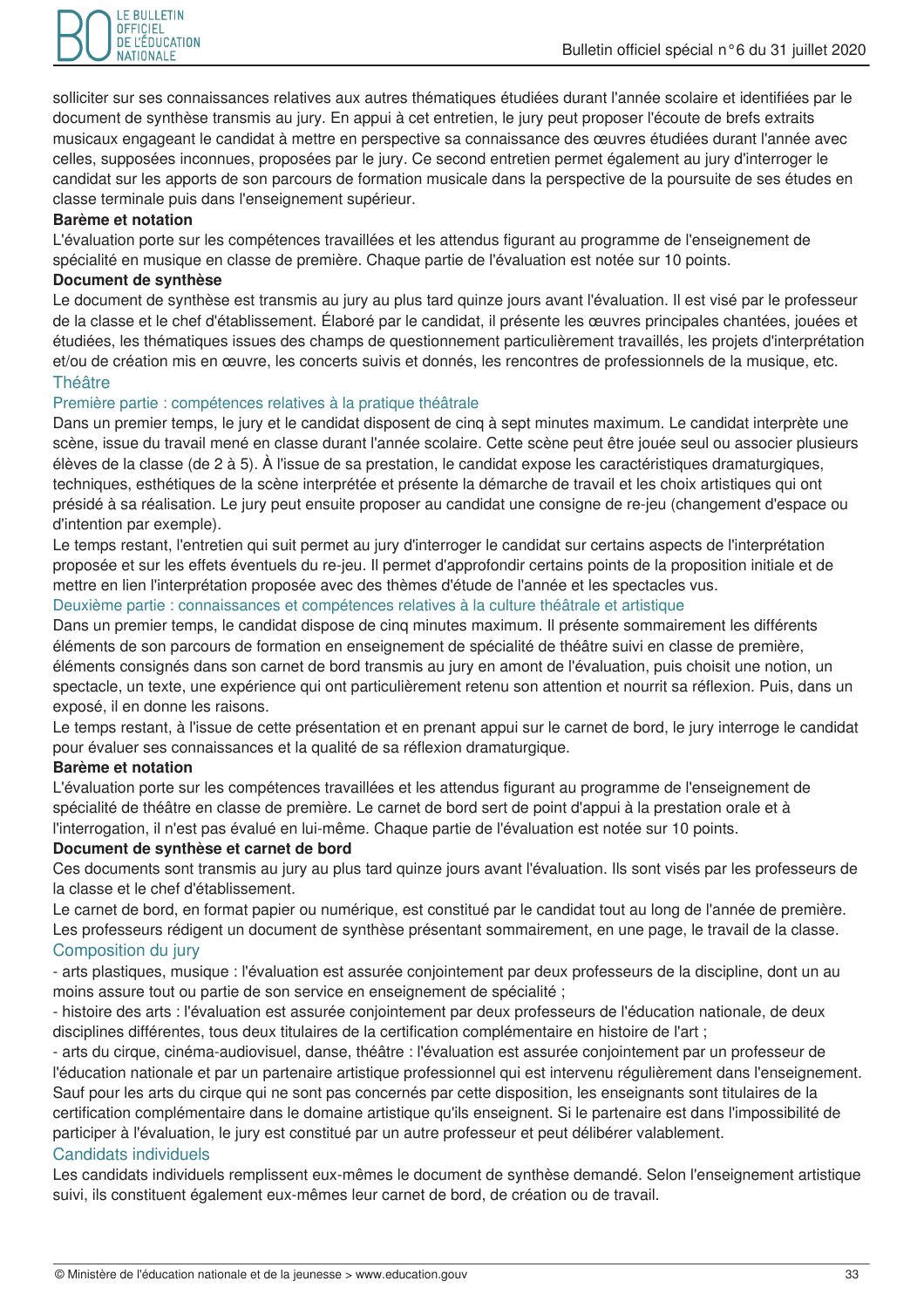

solliciter sur ses connaissances relatives aux autres thématiques étudiées durant l'année scolaire et identifiées par le document de synthèse transmis au jury. En appui à cet entretien, le jury peut proposer l'écoute de brefs extraits musicaux engageant le candidat à mettre en perspective sa connaissance des œuvres étudiées durant l'année avec celles, supposées inconnues, proposées par le jury. Ce second entretien permet également au jury d'interroger le candidat sur les apports de son parcours de formation musicale dans la perspective de la poursuite de ses études en classe terminale puis dans l'enseignement supérieur.

#### Barème et notation

L'évaluation porte sur les compétences travaillées et les attendus figurant au programme de l'enseignement de spécialité en musique en classe de première. Chaque partie de l'évaluation est notée sur 10 points.

#### Document de synthèse

Le document de synthèse est transmis au jury au plus tard quinze jours avant l'évaluation. Il est visé par le professeur de la classe et le chef d'établissement. Élaboré par le candidat, il présente les œuvres principales chantées, jouées et étudiées, les thématiques issues des champs de questionnement particulièrement travaillés, les projets d'interprétation et/ou de création mis en œuvre, les concerts suivis et donnés, les rencontres de professionnels de la musique, etc. **Théâtre** 

# Première partie : compétences relatives à la pratique théâtrale

Dans un premier temps, le jury et le candidat disposent de cinq à sept minutes maximum. Le candidat interprète une scène, issue du travail mené en classe durant l'année scolaire. Cette scène peut être jouée seul ou associer plusieurs élèves de la classe (de 2 à 5). À l'issue de sa prestation, le candidat expose les caractéristiques dramaturgiques, techniques, esthétiques de la scène interprétée et présente la démarche de travail et les choix artistiques qui ont présidé à sa réalisation. Le jury peut ensuite proposer au candidat une consigne de re-jeu (changement d'espace ou d'intention par exemple).

Le temps restant. l'entretien qui suit permet au jury d'interroger le candidat sur certains aspects de l'interprétation proposée et sur les effets éventuels du re-jeu. Il permet d'approfondir certains points de la proposition initiale et de mettre en lien l'interprétation proposée avec des thèmes d'étude de l'année et les spectacles vus.

# Deuxième partie : connaissances et compétences relatives à la culture théâtrale et artistique

Dans un premier temps, le candidat dispose de cinq minutes maximum. Il présente sommairement les différents éléments de son parcours de formation en enseignement de spécialité de théâtre suivi en classe de première. éléments consignés dans son carnet de bord transmis au jury en amont de l'évaluation, puis choisit une notion, un spectacle, un texte, une expérience qui ont particulièrement retenu son attention et nourrit sa réflexion. Puis, dans un exposé, il en donne les raisons.

Le temps restant, à l'issue de cette présentation et en prenant appui sur le carnet de bord, le jury interroge le candidat pour évaluer ses connaissances et la qualité de sa réflexion dramaturgique.

#### Barème et notation

L'évaluation porte sur les compétences travaillées et les attendus figurant au programme de l'enseignement de spécialité de théâtre en classe de première. Le carnet de bord sert de point d'appui à la prestation orale et à l'interrogation, il n'est pas évalué en lui-même. Chaque partie de l'évaluation est notée sur 10 points.

#### Document de synthèse et carnet de bord

Ces documents sont transmis au jury au plus tard quinze jours avant l'évaluation. Ils sont visés par les professeurs de la classe et le chef d'établissement.

Le carnet de bord, en format papier ou numérique, est constitué par le candidat tout au long de l'année de première. Les professeurs rédigent un document de synthèse présentant sommairement, en une page, le travail de la classe. Composition du jury

- arts plastiques, musique : l'évaluation est assurée conjointement par deux professeurs de la discipline, dont un au moins assure tout ou partie de son service en enseignement de spécialité ;

- histoire des arts : l'évaluation est assurée conjointement par deux professeurs de l'éducation nationale, de deux disciplines différentes, tous deux titulaires de la certification complémentaire en histoire de l'art ;

- arts du cirque, cinéma-audiovisuel, danse, théâtre : l'évaluation est assurée conjointement par un professeur de l'éducation nationale et par un partenaire artistique professionnel qui est intervenu réqulièrement dans l'enseignement. Sauf pour les arts du cirque qui ne sont pas concernés par cette disposition, les enseignants sont titulaires de la certification complémentaire dans le domaine artistique qu'ils enseignent. Si le partenaire est dans l'impossibilité de participer à l'évaluation, le jury est constitué par un autre professeur et peut délibérer valablement. Candidats individuels

# Les candidats individuels remplissent eux-mêmes le document de synthèse demandé. Selon l'enseignement artistique suivi, ils constituent également eux-mêmes leur carnet de bord, de création ou de travail.